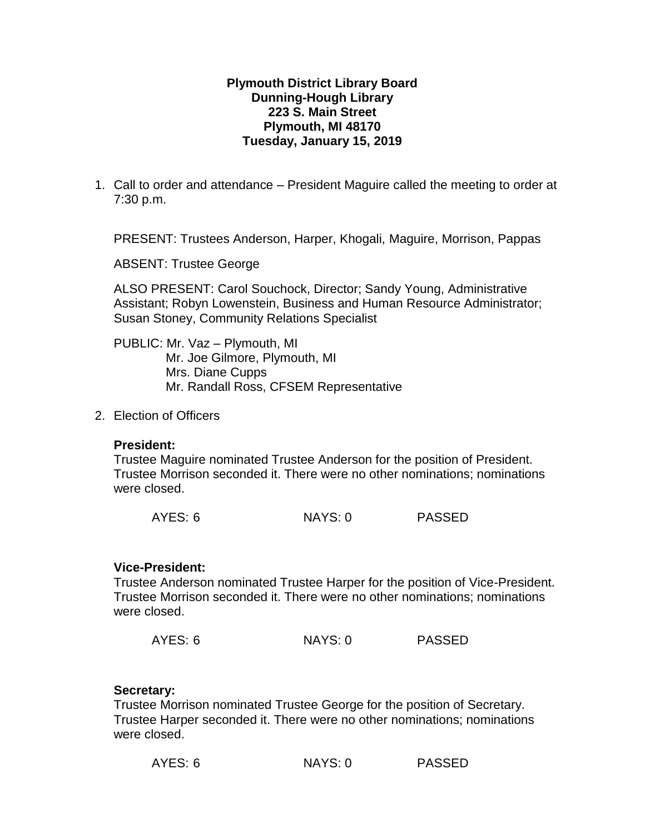### **Plymouth District Library Board Dunning-Hough Library 223 S. Main Street Plymouth, MI 48170 Tuesday, January 15, 2019**

1. Call to order and attendance – President Maguire called the meeting to order at 7:30 p.m.

PRESENT: Trustees Anderson, Harper, Khogali, Maguire, Morrison, Pappas

ABSENT: Trustee George

ALSO PRESENT: Carol Souchock, Director; Sandy Young, Administrative Assistant; Robyn Lowenstein, Business and Human Resource Administrator; Susan Stoney, Community Relations Specialist

PUBLIC: Mr. Vaz – Plymouth, MI Mr. Joe Gilmore, Plymouth, MI Mrs. Diane Cupps Mr. Randall Ross, CFSEM Representative

2. Election of Officers

#### **President:**

Trustee Maguire nominated Trustee Anderson for the position of President. Trustee Morrison seconded it. There were no other nominations; nominations were closed.

#### **Vice-President:**

Trustee Anderson nominated Trustee Harper for the position of Vice-President. Trustee Morrison seconded it. There were no other nominations; nominations were closed.

| AYES: 6 | NAYS: 0 | <b>PASSED</b> |
|---------|---------|---------------|
|---------|---------|---------------|

## **Secretary:**

Trustee Morrison nominated Trustee George for the position of Secretary. Trustee Harper seconded it. There were no other nominations; nominations were closed.

| AYES: 6 | NAYS: 0 | <b>PASSED</b> |
|---------|---------|---------------|
|---------|---------|---------------|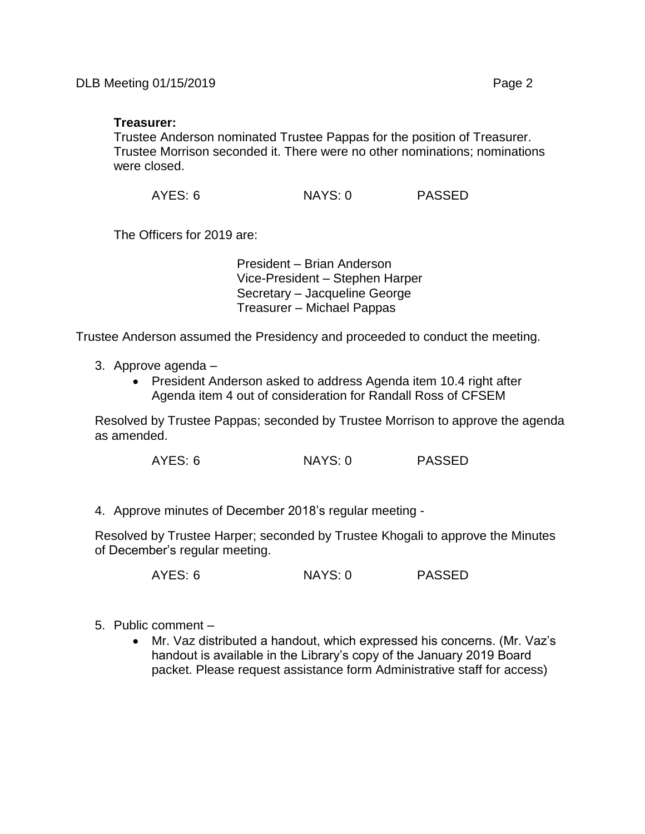### **Treasurer:**

Trustee Anderson nominated Trustee Pappas for the position of Treasurer. Trustee Morrison seconded it. There were no other nominations; nominations were closed.

AYES: 6 NAYS: 0 PASSED

The Officers for 2019 are:

President – Brian Anderson Vice-President – Stephen Harper Secretary – Jacqueline George Treasurer – Michael Pappas

Trustee Anderson assumed the Presidency and proceeded to conduct the meeting.

- 3. Approve agenda
	- President Anderson asked to address Agenda item 10.4 right after Agenda item 4 out of consideration for Randall Ross of CFSEM

Resolved by Trustee Pappas; seconded by Trustee Morrison to approve the agenda as amended.

AYES: 6 NAYS: 0 PASSED

4. Approve minutes of December 2018's regular meeting -

Resolved by Trustee Harper; seconded by Trustee Khogali to approve the Minutes of December's regular meeting.

AYES: 6 NAYS: 0 PASSED

- 5. Public comment
	- Mr. Vaz distributed a handout, which expressed his concerns. (Mr. Vaz's handout is available in the Library's copy of the January 2019 Board packet. Please request assistance form Administrative staff for access)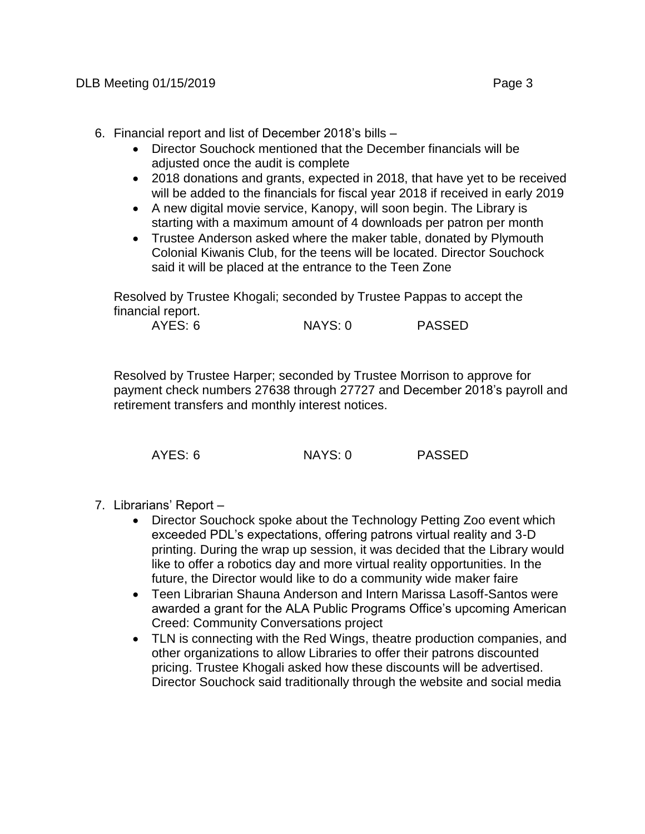- 6. Financial report and list of December 2018's bills
	- Director Souchock mentioned that the December financials will be adiusted once the audit is complete
	- 2018 donations and grants, expected in 2018, that have yet to be received will be added to the financials for fiscal year 2018 if received in early 2019
	- A new digital movie service, Kanopy, will soon begin. The Library is starting with a maximum amount of 4 downloads per patron per month
	- Trustee Anderson asked where the maker table, donated by Plymouth Colonial Kiwanis Club, for the teens will be located. Director Souchock said it will be placed at the entrance to the Teen Zone

Resolved by Trustee Khogali; seconded by Trustee Pappas to accept the financial report.

AYES: 6 NAYS: 0 PASSED

Resolved by Trustee Harper; seconded by Trustee Morrison to approve for payment check numbers 27638 through 27727 and December 2018's payroll and retirement transfers and monthly interest notices.

AYES: 6 NAYS: 0 PASSED

- 7. Librarians' Report
	- Director Souchock spoke about the Technology Petting Zoo event which exceeded PDL's expectations, offering patrons virtual reality and 3-D printing. During the wrap up session, it was decided that the Library would like to offer a robotics day and more virtual reality opportunities. In the future, the Director would like to do a community wide maker faire
	- Teen Librarian Shauna Anderson and Intern Marissa Lasoff-Santos were awarded a grant for the ALA Public Programs Office's upcoming American Creed: Community Conversations project
	- TLN is connecting with the Red Wings, theatre production companies, and other organizations to allow Libraries to offer their patrons discounted pricing. Trustee Khogali asked how these discounts will be advertised. Director Souchock said traditionally through the website and social media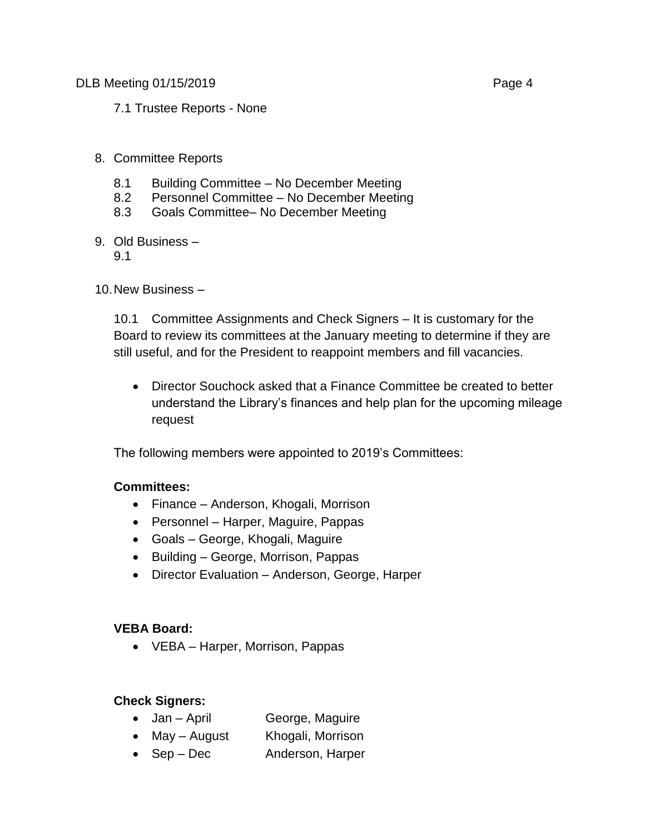DLB Meeting 01/15/2019 **Page 4** 

7.1 Trustee Reports - None

# 8. Committee Reports

- 8.1 Building Committee No December Meeting
- 8.2 Personnel Committee No December Meeting
- 8.3 Goals Committee– No December Meeting
- 9. Old Business
	- 9.1

10.New Business –

10.1 Committee Assignments and Check Signers – It is customary for the Board to review its committees at the January meeting to determine if they are still useful, and for the President to reappoint members and fill vacancies.

 Director Souchock asked that a Finance Committee be created to better understand the Library's finances and help plan for the upcoming mileage request

The following members were appointed to 2019's Committees:

## **Committees:**

- Finance Anderson, Khogali, Morrison
- Personnel Harper, Maguire, Pappas
- Goals George, Khogali, Maguire
- Building George, Morrison, Pappas
- Director Evaluation Anderson, George, Harper

## **VEBA Board:**

VEBA – Harper, Morrison, Pappas

## **Check Signers:**

- Jan April George, Maguire
- May August Khogali, Morrison
- Sep Dec Anderson, Harper